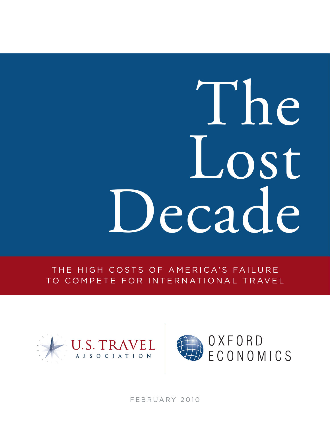# The Lost Decade

THE HIGH COSTS OF AMERICA'S FAILURE TO COMPETE FOR INTERNATIONAL TRAVEL





FEBRUARY 2010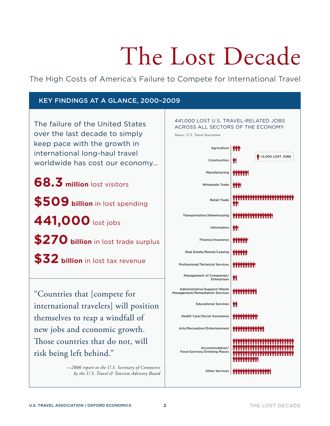## The Lost Decade

The High Costs of America's Failure to Compete for International Travel

#### Key Findings at a Glance, 2000–2009

The failure of the United States over the last decade to simply keep pace with the growth in international long-haul travel worldwide has cost our economy…

**68.3 million** lost visitors

**\$509 billion** in lost spending

**441,000** lost jobs

\$270 billion in lost trade surplus

**\$32 billion** in lost tax revenue

"Countries that [compete for international travelers] will position themselves to reap a windfall of new jobs and economic growth. Those countries that do not, will risk being left behind."

> *—2006 report to the U.S. Secretary of Commerce by the U.S. Travel & Tourism Advisory Board*

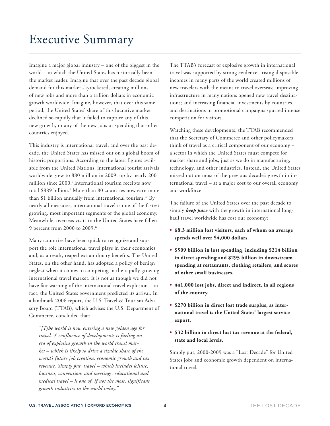Imagine a major global industry – one of the biggest in the world – in which the United States has historically been the market leader. Imagine that over the past decade global demand for this market skyrocketed, creating millions of new jobs and more than a trillion dollars in economic growth worldwide. Imagine, however, that over this same period, the United States' share of this lucrative market declined so rapidly that it failed to capture any of this new growth, or any of the new jobs or spending that other countries enjoyed.

This industry is international travel, and over the past decade, the United States has missed out on a global boom of historic proportions. According to the latest figures available from the United Nations, international tourist arrivals worldwide grew to 880 million in 2009, up by nearly 200 million since 2000.<sup>i</sup> International tourism receipts now total \$889 billion.<sup>ii</sup> More than 80 countries now earn more than \$1 billion annually from international tourism.<sup>iii</sup> By nearly all measures, international travel is one of the fastest growing, most important segments of the global economy. Meanwhile, overseas visits to the United States have fallen 9 percent from 2000 to 2009.iv

Many countries have been quick to recognize and support the role international travel plays in their economies and, as a result, reaped extraordinary benefits. The United States, on the other hand, has adopted a policy of benign neglect when it comes to competing in the rapidly growing international travel market. It is not as though we did not have fair warning of the international travel explosion – in fact, the United States government predicted its arrival. In a landmark 2006 report, the U.S. Travel & Tourism Advisory Board (TTAB), which advises the U.S. Department of Commerce, concluded that:

*"[T]he world is now entering a new golden age for travel. A confluence of developments is fueling an era of explosive growth in the world travel market – which is likely to drive a sizable share of the world's future job creation, economic growth and tax revenue. Simply put, travel – which includes leisure, business, conventions and meetings, educational and medical travel – is one of, if not the most, significant growth industries in the world today."*

The TTAB's forecast of explosive growth in international travel was supported by strong evidence: rising disposable incomes in many parts of the world created millions of new travelers with the means to travel overseas; improving infrastructure in many nations opened new travel destinations; and increasing financial investments by countries and destinations in promotional campaigns spurred intense competition for visitors.

Watching these developments, the TTAB recommended that the Secretary of Commerce and other policymakers think of travel as a critical component of our economy – a sector in which the United States must compete for market share and jobs, just as we do in manufacturing, technology, and other industries. Instead, the United States missed out on most of the previous decade's growth in international travel – at a major cost to our overall economy and workforce.

The failure of the United States over the past decade to simply *keep pace* with the growth in international longhaul travel worldwide has cost our economy:

- **• 68.3 million lost visitors, each of whom on average spends well over \$4,000 dollars.**
- **• \$509 billion in lost spending, including \$214 billion in direct spending and \$295 billion in downstream spending at restaurants, clothing retailers, and scores of other small businesses.**
- **• 441,000 lost jobs, direct and indirect, in all regions of the country.**
- **• \$270 billion in direct lost trade surplus, as international travel is the United States' largest service export.**
- **• \$32 billion in direct lost tax revenue at the federal, state and local levels.**

Simply put, 2000-2009 was a "Lost Decade" for United States jobs and economic growth dependent on international travel.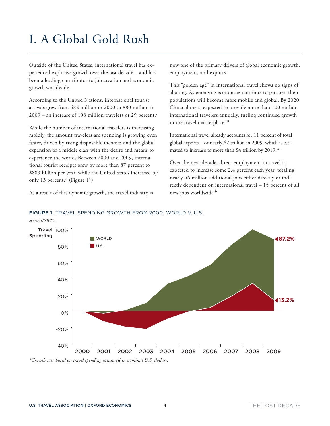## I. A Global Gold Rush

Outside of the United States, international travel has experienced explosive growth over the last decade – and has been a leading contributor to job creation and economic growth worldwide.

According to the United Nations, international tourist arrivals grew from 682 million in 2000 to 880 million in  $2009$  – an increase of 198 million travelers or 29 percent.<sup>v</sup>

While the number of international travelers is increasing rapidly, the amount travelers are spending is growing even faster, driven by rising disposable incomes and the global expansion of a middle class with the desire and means to experience the world. Between 2000 and 2009, international tourist receipts grew by more than 87 percent to \$889 billion per year, while the United States increased by only 13 percent.<sup>vi</sup> (Figure 1<sup>\*</sup>)

As a result of this dynamic growth, the travel industry is

now one of the primary drivers of global economic growth, employment, and exports.

This "golden age" in international travel shows no signs of abating. As emerging economies continue to prosper, their populations will become more mobile and global. By 2020 China alone is expected to provide more than 100 million international travelers annually, fueling continued growth in the travel marketplace.vii

International travel already accounts for 11 percent of total global exports – or nearly \$2 trillion in 2009, which is estimated to increase to more than \$4 trillion by 2019.viii

Over the next decade, direct employment in travel is expected to increase some 2.4 percent each year, totaling nearly 56 million additional jobs either directly or indirectly dependent on international travel – 15 percent of all new jobs worldwide.ix



#### FIGURE 1. Travel Spending Growth from 2000: World V. U.S.

*\*Growth rate based on travel spending measured in nominal U.S. dollars.*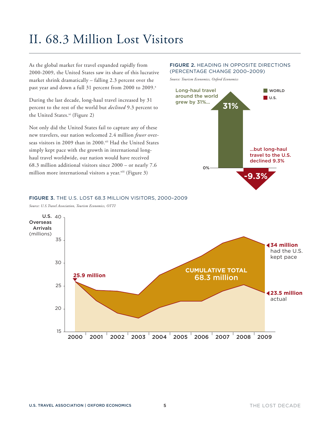## II. 68.3 Million Lost Visitors

As the global market for travel expanded rapidly from 2000-2009, the United States saw its share of this lucrative market shrink dramatically – falling 2.3 percent over the past year and down a full 31 percent from 2000 to 2009.x

During the last decade, long-haul travel increased by 31 percent to the rest of the world but *declined* 9.3 percent to the United States.<sup>xi</sup> (Figure 2)

Not only did the United States fail to capture any of these new travelers, our nation welcomed 2.4 million *fewer* overseas visitors in 2009 than in 2000.xii Had the United States simply kept pace with the growth in international longhaul travel worldwide, our nation would have received 68.3 million additional visitors since 2000 – or nearly 7.6 million more international visitors a year. $x^{x^{x}}$  (Figure 3)

#### FIGURE 2. Heading in Opposite Directions (Percentage change 2000–2009)

*Source: Tourism Economics, Oxford Economics*



#### FIGURE 3. The U.S. Lost 68.3 million visitors, 2000–2009

*Source: U.S.Travel Association, Tourism Economics, OTTI*

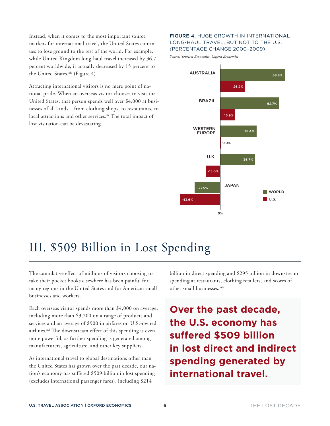Instead, when it comes to the most important source markets for international travel, the United States continues to lose ground to the rest of the world. For example, while United Kingdom long-haul travel increased by 36.7 percent worldwide, it actually decreased by 15 percent to the United States.xiv (Figure 4)

Attracting international visitors is no mere point of national pride. When an overseas visitor chooses to visit the United States, that person spends well over \$4,000 at businesses of all kinds – from clothing shops, to restaurants, to local attractions and other services.<sup>xv</sup> The total impact of lost visitation can be devastating.

#### FIGURE 4. HUGE GROWTH IN INTERNATIONAL Long-Haul travel, but not to the U.S. (Percentage change 2000–2009)

*Source: Tourism Economics, Oxford Economics*



## III. \$509 Billion in Lost Spending

The cumulative effect of millions of visitors choosing to take their pocket books elsewhere has been painful for many regions in the United States and for American small businesses and workers.

Each overseas visitor spends more than \$4,000 on average, including more than \$3,200 on a range of products and services and an average of \$900 in airfares on U.S.-owned airlines.<sup>xvi</sup> The downstream effect of this spending is even more powerful, as further spending is generated among manufacturers, agriculture, and other key suppliers.

As international travel to global destinations other than the United States has grown over the past decade, our nation's economy has suffered \$509 billion in lost spending (excludes international passenger fares), including \$214

billion in direct spending and \$295 billion in downstream spending at restaurants, clothing retailers, and scores of other small businesses.<sup>xvii</sup>

**Over the past decade, the U.S. economy has suffered \$509 billion in lost direct and indirect spending generated by international travel.**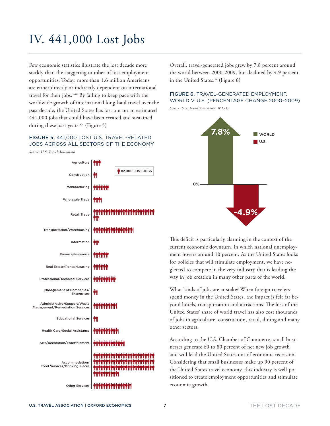## IV. 441,000 Lost Jobs

Few economic statistics illustrate the lost decade more starkly than the staggering number of lost employment opportunities. Today, more than 1.6 million Americans are either directly or indirectly dependent on international travel for their jobs.<sup>xviii</sup> By failing to keep pace with the worldwide growth of international long-haul travel over the past decade, the United States has lost out on an estimated 441,000 jobs that could have been created and sustained during these past years.<sup>xix</sup> (Figure 5)

#### FIGURE 5. 441,000 Lost U.S. Travel-Related Jobs Across All Sectors of the Economy

*Source: U.S. Travel Association*



Overall, travel-generated jobs grew by 7.8 percent around the world between 2000-2009, but declined by 4.9 percent in the United States.<sup>xx</sup> (Figure 6)

#### FIGURE 6. TRAVEL-GENERATED EMPLOYMENT, World V. U.S. (Percentage change 2000–2009)





This deficit is particularly alarming in the context of the current economic downturn, in which national unemployment hovers around 10 percent. As the United States looks for policies that will stimulate employment, we have neglected to compete in the very industry that is leading the way in job creation in many other parts of the world.

What kinds of jobs are at stake? When foreign travelers spend money in the United States, the impact is felt far beyond hotels, transportation and attractions. The loss of the United States' share of world travel has also cost thousands of jobs in agriculture, construction, retail, dining and many other sectors.

According to the U.S. Chamber of Commerce, small businesses generate 60 to 80 percent of net new job growth and will lead the United States out of economic recession. Considering that small businesses make up 90 percent of the United States travel economy, this industry is well-positioned to create employment opportunities and stimulate economic growth.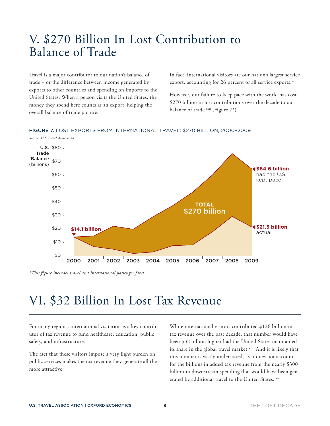## V. \$270 Billion In Lost Contribution to Balance of Trade

Travel is a major contributor to our nation's balance of trade – or the difference between income generated by exports to other countries and spending on imports to the United States. When a person visits the United States, the money they spend here counts as an export, helping the overall balance of trade picture.

In fact, international visitors are our nation's largest service export, accounting for 26 percent of all service exports.<sup>xxi</sup>

However, our failure to keep pace with the world has cost \$270 billion in lost contributions over the decade to our balance of trade. $x$ <sup>xxii</sup> (Figure 7<sup>\*</sup>)

#### FIGURE 7. Lost Exports from international travel: \$270 billion, 2000–2009



*\*This figure includes travel and international passenger fares.*

## VI. \$32 Billion In Lost Tax Revenue

For many regions, international visitation is a key contributor of tax revenue to fund healthcare, education, public safety, and infrastructure.

The fact that these visitors impose a very light burden on public services makes the tax revenue they generate all the more attractive.

While international visitors contributed \$126 billion in tax revenue over the past decade, that number would have been \$32 billion higher had the United States maintained its share in the global travel market.<sup>xxiii</sup> And it is likely that this number is vastly understated, as it does not account for the billions in added tax revenue from the nearly \$300 billion in downstream spending that would have been generated by additional travel to the United States.xxiv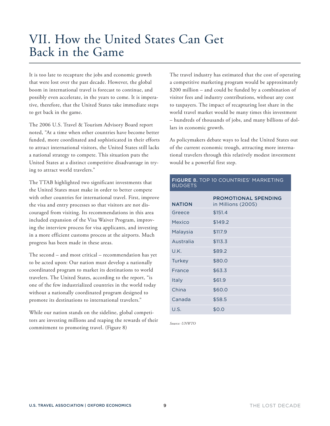## VII. How the United States Can Get Back in the Game

It is too late to recapture the jobs and economic growth that were lost over the past decade. However, the global boom in international travel is forecast to continue, and possibly even accelerate, in the years to come. It is imperative, therefore, that the United States take immediate steps to get back in the game.

The 2006 U.S. Travel & Tourism Advisory Board report noted, "At a time when other countries have become better funded, more coordinated and sophisticated in their efforts to attract international visitors, the United States still lacks a national strategy to compete. This situation puts the United States at a distinct competitive disadvantage in trying to attract world travelers."

The TTAB highlighted two significant investments that the United States must make in order to better compete with other countries for international travel. First, improve the visa and entry processes so that visitors are not discouraged from visiting. Its recommendations in this area included expansion of the Visa Waiver Program, improving the interview process for visa applicants, and investing in a more efficient customs process at the airports. Much progress has been made in these areas.

The second – and most critical – recommendation has yet to be acted upon: Our nation must develop a nationally coordinated program to market its destinations to world travelers. The United States, according to the report, "is one of the few industrialized countries in the world today without a nationally coordinated program designed to promote its destinations to international travelers."

While our nation stands on the sideline, global competitors are investing millions and reaping the rewards of their commitment to promoting travel. (Figure 8)

The travel industry has estimated that the cost of operating a competitive marketing program would be approximately \$200 million – and could be funded by a combination of visitor fees and industry contributions, without any cost to taxpayers. The impact of recapturing lost share in the world travel market would be many times this investment – hundreds of thousands of jobs, and many billions of dollars in economic growth.

As policymakers debate ways to lead the United States out of the current economic trough, attracting more international travelers through this relatively modest investment would be a powerful first step.

#### FIGURE 8. TOP 10 COUNTRIES' MARKETING **BUDGETS**

| <b>NATION</b> | <b>PROMOTIONAL SPENDING</b><br>in Millions (2005) |
|---------------|---------------------------------------------------|
| Greece        | \$151.4                                           |
| Mexico        | \$149.2                                           |
| Malaysia      | \$117.9                                           |
| Australia     | \$113.3                                           |
| U.K.          | \$89.2                                            |
| Turkey        | \$80.0                                            |
| France        | \$63.3                                            |
| Italy         | \$61.9                                            |
| China         | \$60.0                                            |
| Canada        | \$58.5                                            |
| U.S.          | \$0.0                                             |

*Source: UNWTO*